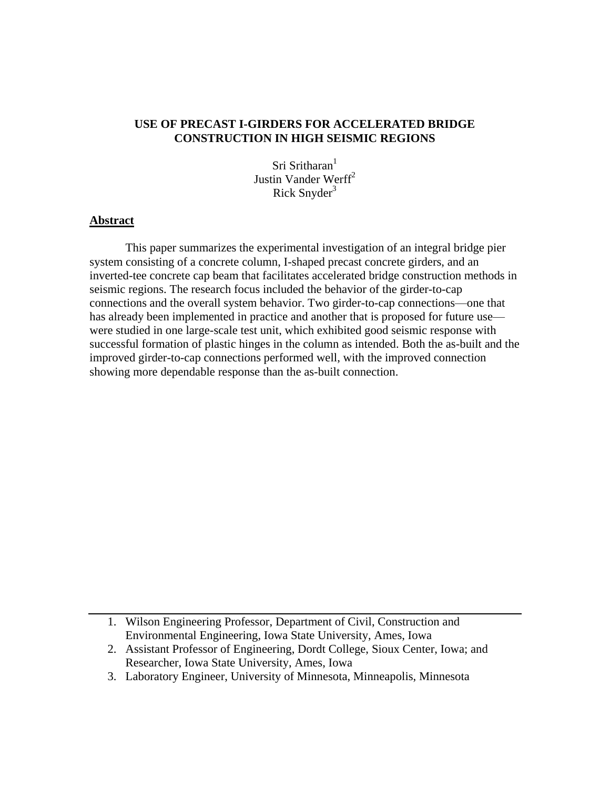# **USE OF PRECAST I-GIRDERS FOR ACCELERATED BRIDGE CONSTRUCTION IN HIGH SEISMIC REGIONS**

Sri Sritharan<sup>1</sup> Justin Vander Werff $^2$ Rick Snyder $3$ 

### **Abstract**

This paper summarizes the experimental investigation of an integral bridge pier system consisting of a concrete column, I-shaped precast concrete girders, and an inverted-tee concrete cap beam that facilitates accelerated bridge construction methods in seismic regions. The research focus included the behavior of the girder-to-cap connections and the overall system behavior. Two girder-to-cap connections—one that has already been implemented in practice and another that is proposed for future use were studied in one large-scale test unit, which exhibited good seismic response with successful formation of plastic hinges in the column as intended. Both the as-built and the improved girder-to-cap connections performed well, with the improved connection showing more dependable response than the as-built connection.

<sup>1.</sup> Wilson Engineering Professor, Department of Civil, Construction and Environmental Engineering, Iowa State University, Ames, Iowa

<sup>2.</sup> Assistant Professor of Engineering, Dordt College, Sioux Center, Iowa; and Researcher, Iowa State University, Ames, Iowa

<sup>3.</sup> Laboratory Engineer, University of Minnesota, Minneapolis, Minnesota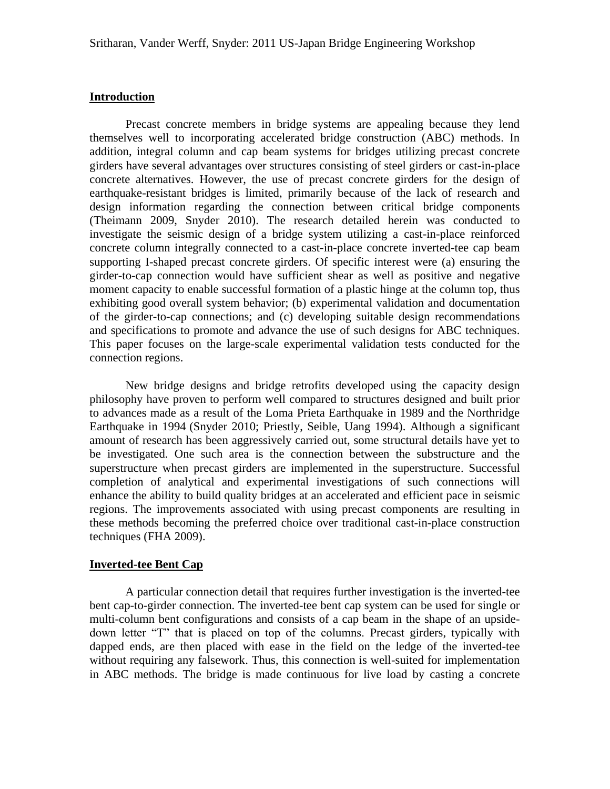### **Introduction**

Precast concrete members in bridge systems are appealing because they lend themselves well to incorporating accelerated bridge construction (ABC) methods. In addition, integral column and cap beam systems for bridges utilizing precast concrete girders have several advantages over structures consisting of steel girders or cast-in-place concrete alternatives. However, the use of precast concrete girders for the design of earthquake-resistant bridges is limited, primarily because of the lack of research and design information regarding the connection between critical bridge components (Theimann 2009, Snyder 2010). The research detailed herein was conducted to investigate the seismic design of a bridge system utilizing a cast-in-place reinforced concrete column integrally connected to a cast-in-place concrete inverted-tee cap beam supporting I-shaped precast concrete girders. Of specific interest were (a) ensuring the girder-to-cap connection would have sufficient shear as well as positive and negative moment capacity to enable successful formation of a plastic hinge at the column top, thus exhibiting good overall system behavior; (b) experimental validation and documentation of the girder-to-cap connections; and (c) developing suitable design recommendations and specifications to promote and advance the use of such designs for ABC techniques. This paper focuses on the large-scale experimental validation tests conducted for the connection regions.

New bridge designs and bridge retrofits developed using the capacity design philosophy have proven to perform well compared to structures designed and built prior to advances made as a result of the Loma Prieta Earthquake in 1989 and the Northridge Earthquake in 1994 (Snyder 2010; Priestly, Seible, Uang 1994). Although a significant amount of research has been aggressively carried out, some structural details have yet to be investigated. One such area is the connection between the substructure and the superstructure when precast girders are implemented in the superstructure. Successful completion of analytical and experimental investigations of such connections will enhance the ability to build quality bridges at an accelerated and efficient pace in seismic regions. The improvements associated with using precast components are resulting in these methods becoming the preferred choice over traditional cast-in-place construction techniques (FHA 2009).

## **Inverted-tee Bent Cap**

A particular connection detail that requires further investigation is the inverted-tee bent cap-to-girder connection. The inverted-tee bent cap system can be used for single or multi-column bent configurations and consists of a cap beam in the shape of an upsidedown letter "T" that is placed on top of the columns. Precast girders, typically with dapped ends, are then placed with ease in the field on the ledge of the inverted-tee without requiring any falsework. Thus, this connection is well-suited for implementation in ABC methods. The bridge is made continuous for live load by casting a concrete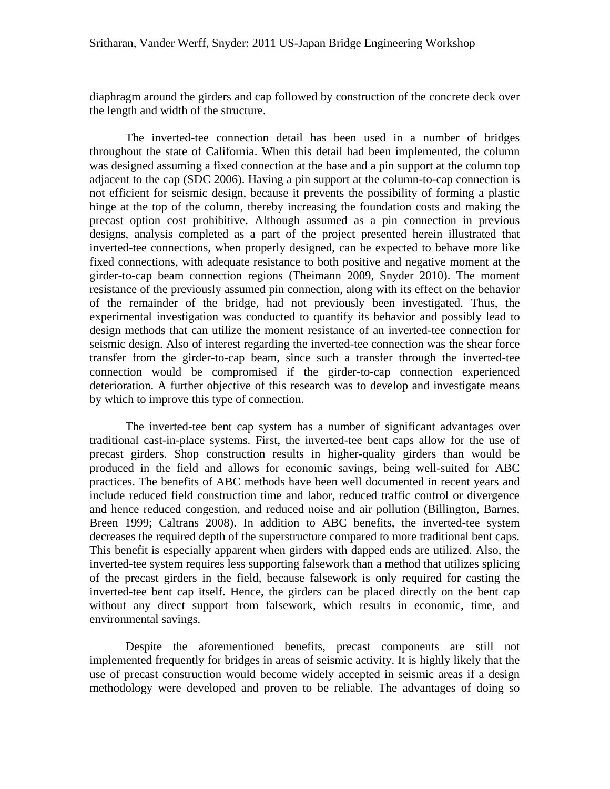diaphragm around the girders and cap followed by construction of the concrete deck over the length and width of the structure.

The inverted-tee connection detail has been used in a number of bridges throughout the state of California. When this detail had been implemented, the column was designed assuming a fixed connection at the base and a pin support at the column top adjacent to the cap (SDC 2006). Having a pin support at the column-to-cap connection is not efficient for seismic design, because it prevents the possibility of forming a plastic hinge at the top of the column, thereby increasing the foundation costs and making the precast option cost prohibitive. Although assumed as a pin connection in previous designs, analysis completed as a part of the project presented herein illustrated that inverted-tee connections, when properly designed, can be expected to behave more like fixed connections, with adequate resistance to both positive and negative moment at the girder-to-cap beam connection regions (Theimann 2009, Snyder 2010). The moment resistance of the previously assumed pin connection, along with its effect on the behavior of the remainder of the bridge, had not previously been investigated. Thus, the experimental investigation was conducted to quantify its behavior and possibly lead to design methods that can utilize the moment resistance of an inverted-tee connection for seismic design. Also of interest regarding the inverted-tee connection was the shear force transfer from the girder-to-cap beam, since such a transfer through the inverted-tee connection would be compromised if the girder-to-cap connection experienced deterioration. A further objective of this research was to develop and investigate means by which to improve this type of connection.

The inverted-tee bent cap system has a number of significant advantages over traditional cast-in-place systems. First, the inverted-tee bent caps allow for the use of precast girders. Shop construction results in higher-quality girders than would be produced in the field and allows for economic savings, being well-suited for ABC practices. The benefits of ABC methods have been well documented in recent years and include reduced field construction time and labor, reduced traffic control or divergence and hence reduced congestion, and reduced noise and air pollution (Billington, Barnes, Breen 1999; Caltrans 2008). In addition to ABC benefits, the inverted-tee system decreases the required depth of the superstructure compared to more traditional bent caps. This benefit is especially apparent when girders with dapped ends are utilized. Also, the inverted-tee system requires less supporting falsework than a method that utilizes splicing of the precast girders in the field, because falsework is only required for casting the inverted-tee bent cap itself. Hence, the girders can be placed directly on the bent cap without any direct support from falsework, which results in economic, time, and environmental savings.

Despite the aforementioned benefits, precast components are still not implemented frequently for bridges in areas of seismic activity. It is highly likely that the use of precast construction would become widely accepted in seismic areas if a design methodology were developed and proven to be reliable. The advantages of doing so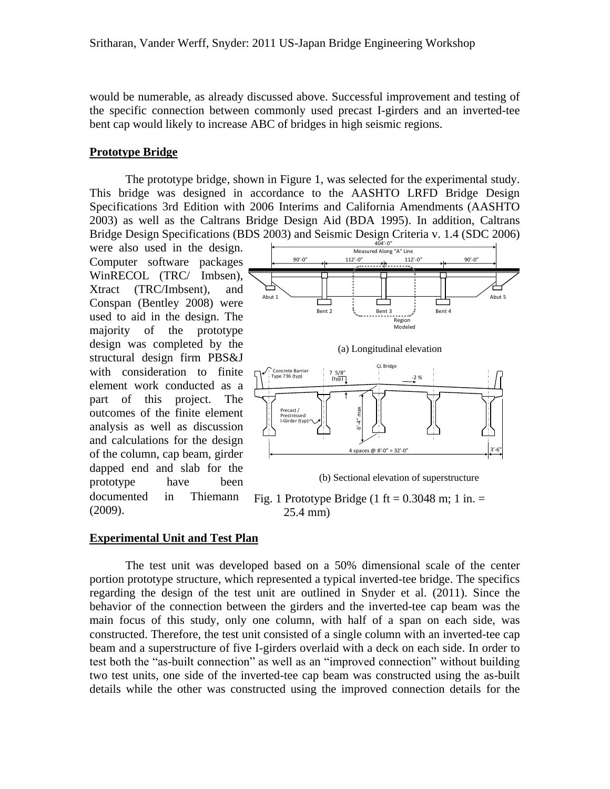would be numerable, as already discussed above. Successful improvement and testing of the specific connection between commonly used precast I-girders and an inverted-tee bent cap would likely to increase ABC of bridges in high seismic regions.

#### **Prototype Bridge**

The prototype bridge, shown in Figure 1, was selected for the experimental study. This bridge was designed in accordance to the AASHTO LRFD Bridge Design Specifications 3rd Edition with 2006 Interims and California Amendments (AASHTO 2003) as well as the Caltrans Bridge Design Aid (BDA 1995). In addition, Caltrans Bridge Design Specifications (BDS 2003) and Seismic Design Criteria v. 1.4 (SDC 2006)

were also used in the design. Computer software packages WinRECOL (TRC/ Imbsen), Xtract (TRC/Imbsent), and Conspan (Bentley 2008) were used to aid in the design. The majority of the prototype design was completed by the structural design firm PBS&J with consideration to finite element work conducted as a part of this project. The outcomes of the finite element analysis as well as discussion and calculations for the design of the column, cap beam, girder dapped end and slab for the prototype have been documented in Thiemann (2009).



Fig. 1 Prototype Bridge (1 ft =  $0.3048$  m; 1 in. = 25.4 mm)

## **Experimental Unit and Test Plan**

The test unit was developed based on a 50% dimensional scale of the center portion prototype structure, which represented a typical inverted-tee bridge. The specifics regarding the design of the test unit are outlined in Snyder et al. (2011). Since the behavior of the connection between the girders and the inverted-tee cap beam was the main focus of this study, only one column, with half of a span on each side, was constructed. Therefore, the test unit consisted of a single column with an inverted-tee cap beam and a superstructure of five I-girders overlaid with a deck on each side. In order to test both the "as-built connection" as well as an "improved connection" without building two test units, one side of the inverted-tee cap beam was constructed using the as-built details while the other was constructed using the improved connection details for the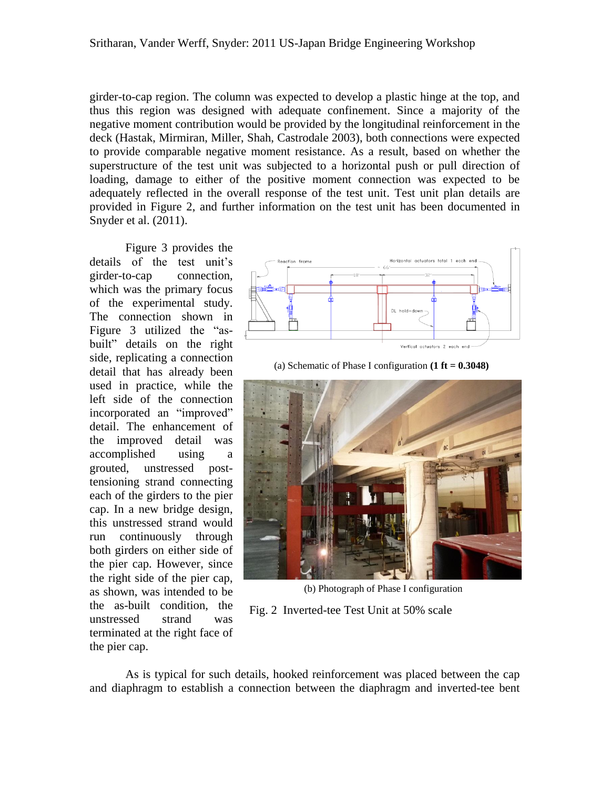girder-to-cap region. The column was expected to develop a plastic hinge at the top, and thus this region was designed with adequate confinement. Since a majority of the negative moment contribution would be provided by the longitudinal reinforcement in the deck (Hastak, Mirmiran, Miller, Shah, Castrodale 2003), both connections were expected to provide comparable negative moment resistance. As a result, based on whether the superstructure of the test unit was subjected to a horizontal push or pull direction of loading, damage to either of the positive moment connection was expected to be adequately reflected in the overall response of the test unit. Test unit plan details are provided in Figure 2, and further information on the test unit has been documented in Snyder et al. (2011).

Figure 3 provides the details of the test unit's girder-to-cap connection, which was the primary focus of the experimental study. The connection shown in Figure 3 utilized the "asbuilt" details on the right side, replicating a connection detail that has already been used in practice, while the left side of the connection incorporated an "improved" detail. The enhancement of the improved detail was accomplished using a grouted, unstressed posttensioning strand connecting each of the girders to the pier cap. In a new bridge design, this unstressed strand would run continuously through both girders on either side of the pier cap. However, since the right side of the pier cap, as shown, was intended to be the as-built condition, the unstressed strand was terminated at the right face of the pier cap.



(a) Schematic of Phase I configuration **(1 ft = 0.3048)**



(b) Photograph of Phase I configuration

Fig. 2 Inverted-tee Test Unit at 50% scale

As is typical for such details, hooked reinforcement was placed between the cap and diaphragm to establish a connection between the diaphragm and inverted-tee bent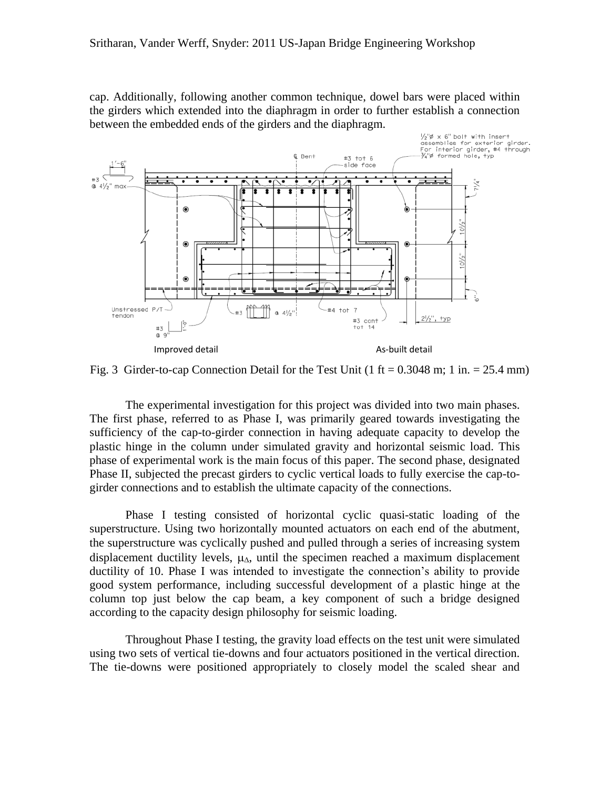cap. Additionally, following another common technique, dowel bars were placed within the girders which extended into the diaphragm in order to further establish a connection between the embedded ends of the girders and the diaphragm.



Fig. 3 Girder-to-cap Connection Detail for the Test Unit  $(1 \text{ ft} = 0.3048 \text{ m}; 1 \text{ in.} = 25.4 \text{ mm})$ 

The experimental investigation for this project was divided into two main phases. The first phase, referred to as Phase I, was primarily geared towards investigating the sufficiency of the cap-to-girder connection in having adequate capacity to develop the plastic hinge in the column under simulated gravity and horizontal seismic load. This phase of experimental work is the main focus of this paper. The second phase, designated Phase II, subjected the precast girders to cyclic vertical loads to fully exercise the cap-togirder connections and to establish the ultimate capacity of the connections.

Phase I testing consisted of horizontal cyclic quasi-static loading of the superstructure. Using two horizontally mounted actuators on each end of the abutment, the superstructure was cyclically pushed and pulled through a series of increasing system displacement ductility levels,  $\mu_{\Lambda}$ , until the specimen reached a maximum displacement ductility of 10. Phase I was intended to investigate the connection's ability to provide good system performance, including successful development of a plastic hinge at the column top just below the cap beam, a key component of such a bridge designed according to the capacity design philosophy for seismic loading.

Throughout Phase I testing, the gravity load effects on the test unit were simulated using two sets of vertical tie-downs and four actuators positioned in the vertical direction. The tie-downs were positioned appropriately to closely model the scaled shear and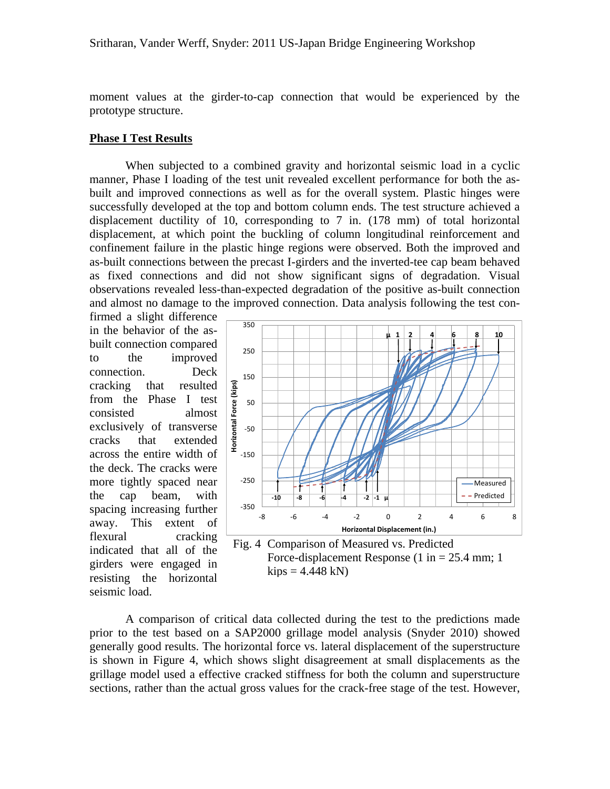moment values at the girder-to-cap connection that would be experienced by the prototype structure.

#### **Phase I Test Results**

When subjected to a combined gravity and horizontal seismic load in a cyclic manner, Phase I loading of the test unit revealed excellent performance for both the asbuilt and improved connections as well as for the overall system. Plastic hinges were successfully developed at the top and bottom column ends. The test structure achieved a displacement ductility of 10, corresponding to 7 in. (178 mm) of total horizontal displacement, at which point the buckling of column longitudinal reinforcement and confinement failure in the plastic hinge regions were observed. Both the improved and as-built connections between the precast I-girders and the inverted-tee cap beam behaved as fixed connections and did not show significant signs of degradation. Visual observations revealed less-than-expected degradation of the positive as-built connection and almost no damage to the improved connection. Data analysis following the test con-

firmed a slight difference in the behavior of the asbuilt connection compared to the improved connection. Deck cracking that resulted from the Phase I test consisted almost exclusively of transverse cracks that extended across the entire width of the deck. The cracks were more tightly spaced near the cap beam, with spacing increasing further away. This extent of flexural cracking indicated that all of the girders were engaged in resisting the horizontal seismic load.





A comparison of critical data collected during the test to the predictions made prior to the test based on a SAP2000 grillage model analysis (Snyder 2010) showed generally good results. The horizontal force vs. lateral displacement of the superstructure is shown in Figure 4, which shows slight disagreement at small displacements as the grillage model used a effective cracked stiffness for both the column and superstructure sections, rather than the actual gross values for the crack-free stage of the test. However,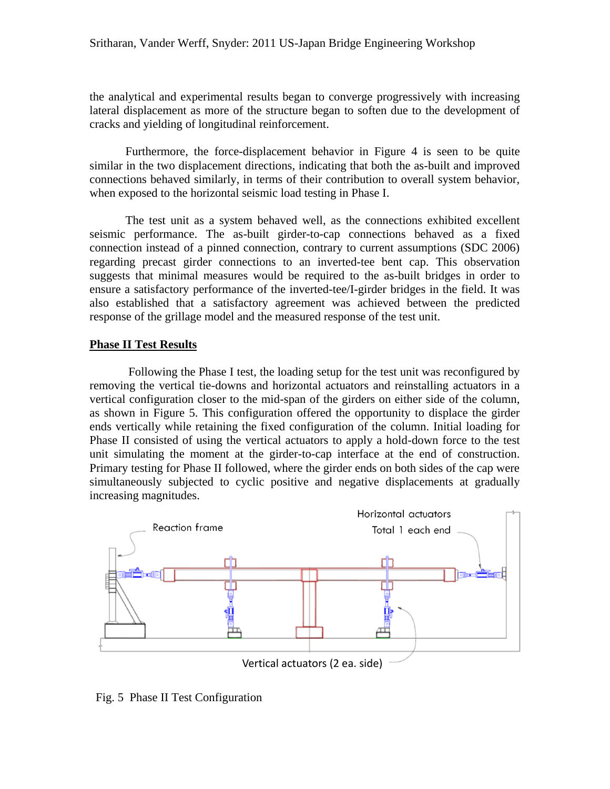the analytical and experimental results began to converge progressively with increasing lateral displacement as more of the structure began to soften due to the development of cracks and yielding of longitudinal reinforcement.

Furthermore, the force-displacement behavior in Figure 4 is seen to be quite similar in the two displacement directions, indicating that both the as-built and improved connections behaved similarly, in terms of their contribution to overall system behavior, when exposed to the horizontal seismic load testing in Phase I.

The test unit as a system behaved well, as the connections exhibited excellent seismic performance. The as-built girder-to-cap connections behaved as a fixed connection instead of a pinned connection, contrary to current assumptions (SDC 2006) regarding precast girder connections to an inverted-tee bent cap. This observation suggests that minimal measures would be required to the as-built bridges in order to ensure a satisfactory performance of the inverted-tee/I-girder bridges in the field. It was also established that a satisfactory agreement was achieved between the predicted response of the grillage model and the measured response of the test unit.

# **Phase II Test Results**

Following the Phase I test, the loading setup for the test unit was reconfigured by removing the vertical tie-downs and horizontal actuators and reinstalling actuators in a vertical configuration closer to the mid-span of the girders on either side of the column, as shown in Figure 5. This configuration offered the opportunity to displace the girder ends vertically while retaining the fixed configuration of the column. Initial loading for Phase II consisted of using the vertical actuators to apply a hold-down force to the test unit simulating the moment at the girder-to-cap interface at the end of construction. Primary testing for Phase II followed, where the girder ends on both sides of the cap were simultaneously subjected to cyclic positive and negative displacements at gradually increasing magnitudes.



Fig. 5 Phase II Test Configuration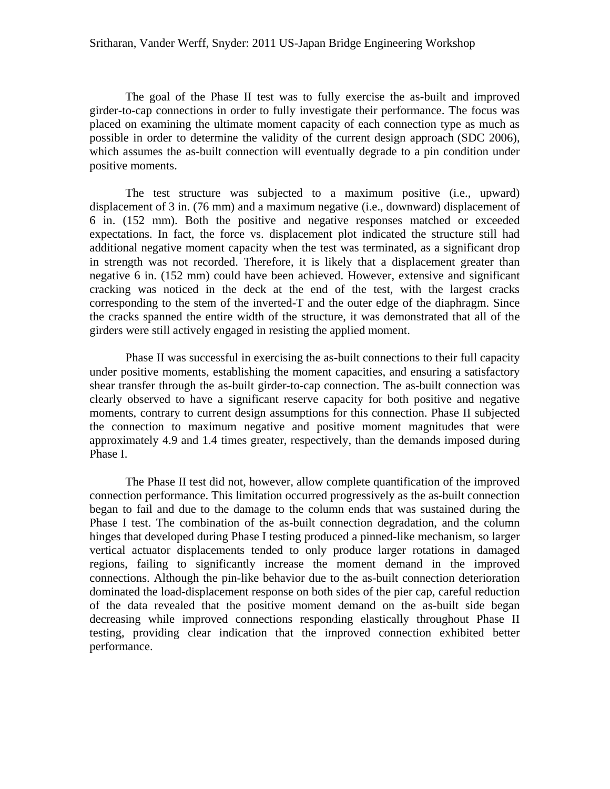The goal of the Phase II test was to fully exercise the as-built and improved girder-to-cap connections in order to fully investigate their performance. The focus was placed on examining the ultimate moment capacity of each connection type as much as possible in order to determine the validity of the current design approach (SDC 2006), which assumes the as-built connection will eventually degrade to a pin condition under positive moments.

The test structure was subjected to a maximum positive (i.e., upward) displacement of 3 in. (76 mm) and a maximum negative (i.e., downward) displacement of 6 in. (152 mm). Both the positive and negative responses matched or exceeded expectations. In fact, the force vs. displacement plot indicated the structure still had additional negative moment capacity when the test was terminated, as a significant drop in strength was not recorded. Therefore, it is likely that a displacement greater than negative 6 in. (152 mm) could have been achieved. However, extensive and significant cracking was noticed in the deck at the end of the test, with the largest cracks corresponding to the stem of the inverted-T and the outer edge of the diaphragm. Since the cracks spanned the entire width of the structure, it was demonstrated that all of the girders were still actively engaged in resisting the applied moment.

Phase II was successful in exercising the as-built connections to their full capacity under positive moments, establishing the moment capacities, and ensuring a satisfactory shear transfer through the as-built girder-to-cap connection. The as-built connection was clearly observed to have a significant reserve capacity for both positive and negative moments, contrary to current design assumptions for this connection. Phase II subjected the connection to maximum negative and positive moment magnitudes that were approximately 4.9 and 1.4 times greater, respectively, than the demands imposed during Phase I.

The Phase II test did not, however, allow complete quantification of the improved connection performance. This limitation occurred progressively as the as-built connection began to fail and due to the damage to the column ends that was sustained during the Phase I test. The combination of the as-built connection degradation, and the column hinges that developed during Phase I testing produced a pinned-like mechanism, so larger vertical actuator displacements tended to only produce larger rotations in damaged regions, failing to significantly increase the moment demand in the improved connections. Although the pin-like behavior due to the as-built connection deterioration dominated the load-displacement response on both sides of the pier cap, careful reduction of the data revealed that the positive moment demand on the as-built side began decreasing while improved connections responding elastically throughout Phase II testing, providing clear indication that the improved connection exhibited better performance.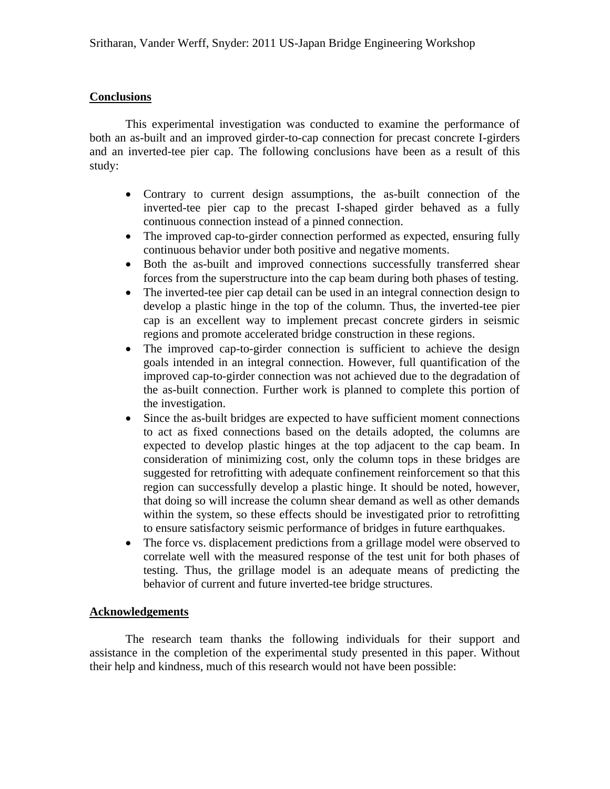# **Conclusions**

This experimental investigation was conducted to examine the performance of both an as-built and an improved girder-to-cap connection for precast concrete I-girders and an inverted-tee pier cap. The following conclusions have been as a result of this study:

- Contrary to current design assumptions, the as-built connection of the inverted-tee pier cap to the precast I-shaped girder behaved as a fully continuous connection instead of a pinned connection.
- The improved cap-to-girder connection performed as expected, ensuring fully continuous behavior under both positive and negative moments.
- Both the as-built and improved connections successfully transferred shear forces from the superstructure into the cap beam during both phases of testing.
- The inverted-tee pier cap detail can be used in an integral connection design to develop a plastic hinge in the top of the column. Thus, the inverted-tee pier cap is an excellent way to implement precast concrete girders in seismic regions and promote accelerated bridge construction in these regions.
- The improved cap-to-girder connection is sufficient to achieve the design goals intended in an integral connection. However, full quantification of the improved cap-to-girder connection was not achieved due to the degradation of the as-built connection. Further work is planned to complete this portion of the investigation.
- Since the as-built bridges are expected to have sufficient moment connections to act as fixed connections based on the details adopted, the columns are expected to develop plastic hinges at the top adjacent to the cap beam. In consideration of minimizing cost, only the column tops in these bridges are suggested for retrofitting with adequate confinement reinforcement so that this region can successfully develop a plastic hinge. It should be noted, however, that doing so will increase the column shear demand as well as other demands within the system, so these effects should be investigated prior to retrofitting to ensure satisfactory seismic performance of bridges in future earthquakes.
- The force vs. displacement predictions from a grillage model were observed to correlate well with the measured response of the test unit for both phases of testing. Thus, the grillage model is an adequate means of predicting the behavior of current and future inverted-tee bridge structures.

## **Acknowledgements**

The research team thanks the following individuals for their support and assistance in the completion of the experimental study presented in this paper. Without their help and kindness, much of this research would not have been possible: